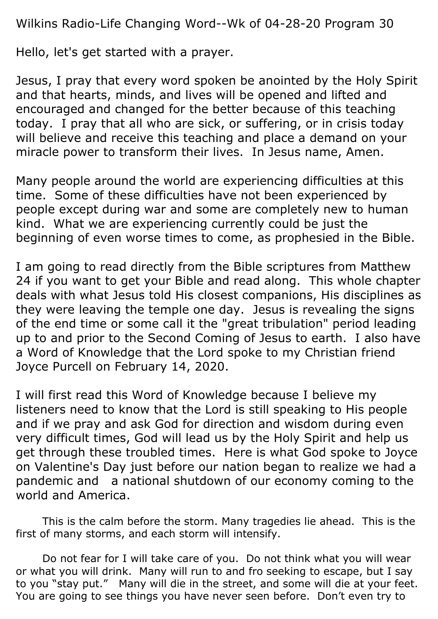Wilkins Radio-Life Changing Word--Wk of 04-28-20 Program 30

Hello, let's get started with a prayer.

Jesus, I pray that every word spoken be anointed by the Holy Spirit and that hearts, minds, and lives will be opened and lifted and encouraged and changed for the better because of this teaching today. I pray that all who are sick, or suffering, or in crisis today will believe and receive this teaching and place a demand on your miracle power to transform their lives. In Jesus name, Amen.

Many people around the world are experiencing difficulties at this time. Some of these difficulties have not been experienced by people except during war and some are completely new to human kind. What we are experiencing currently could be just the beginning of even worse times to come, as prophesied in the Bible.

I am going to read directly from the Bible scriptures from Matthew 24 if you want to get your Bible and read along. This whole chapter deals with what Jesus told His closest companions, His disciplines as they were leaving the temple one day. Jesus is revealing the signs of the end time or some call it the "great tribulation" period leading up to and prior to the Second Coming of Jesus to earth. I also have a Word of Knowledge that the Lord spoke to my Christian friend Joyce Purcell on February 14, 2020.

I will first read this Word of Knowledge because I believe my listeners need to know that the Lord is still speaking to His people and if we pray and ask God for direction and wisdom during even very difficult times, God will lead us by the Holy Spirit and help us get through these troubled times. Here is what God spoke to Joyce on Valentine's Day just before our nation began to realize we had a pandemic and a national shutdown of our economy coming to the world and America.

This is the calm before the storm. Many tragedies lie ahead. This is the first of many storms, and each storm will intensify.

Do not fear for I will take care of you. Do not think what you will wear or what you will drink. Many will run to and fro seeking to escape, but I say to you "stay put." Many will die in the street, and some will die at your feet. You are going to see things you have never seen before. Don't even try to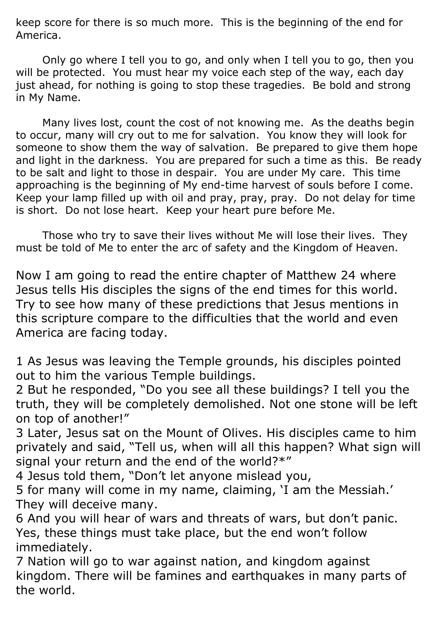keep score for there is so much more. This is the beginning of the end for America.

Only go where I tell you to go, and only when I tell you to go, then you will be protected. You must hear my voice each step of the way, each day just ahead, for nothing is going to stop these tragedies. Be bold and strong in My Name.

Many lives lost, count the cost of not knowing me. As the deaths begin to occur, many will cry out to me for salvation. You know they will look for someone to show them the way of salvation. Be prepared to give them hope and light in the darkness. You are prepared for such a time as this. Be ready to be salt and light to those in despair. You are under My care. This time approaching is the beginning of My end-time harvest of souls before I come. Keep your lamp filled up with oil and pray, pray, pray. Do not delay for time is short. Do not lose heart. Keep your heart pure before Me.

Those who try to save their lives without Me will lose their lives. They must be told of Me to enter the arc of safety and the Kingdom of Heaven.

Now I am going to read the entire chapter of Matthew 24 where Jesus tells His disciples the signs of the end times for this world. Try to see how many of these predictions that Jesus mentions in this scripture compare to the difficulties that the world and even America are facing today.

1 As Jesus was leaving the Temple grounds, his disciples pointed out to him the various Temple buildings.

2 But he responded, "Do you see all these buildings? I tell you the truth, they will be completely demolished. Not one stone will be left on top of another!"

3 Later, Jesus sat on the Mount of Olives. His disciples came to him privately and said, "Tell us, when will all this happen? What sign will signal your return and the end of the world?\*"

4 Jesus told them, "Don't let anyone mislead you,

5 for many will come in my name, claiming, 'I am the Messiah.' They will deceive many.

6 And you will hear of wars and threats of wars, but don't panic. Yes, these things must take place, but the end won't follow immediately.

7 Nation will go to war against nation, and kingdom against kingdom. There will be famines and earthquakes in many parts of the world.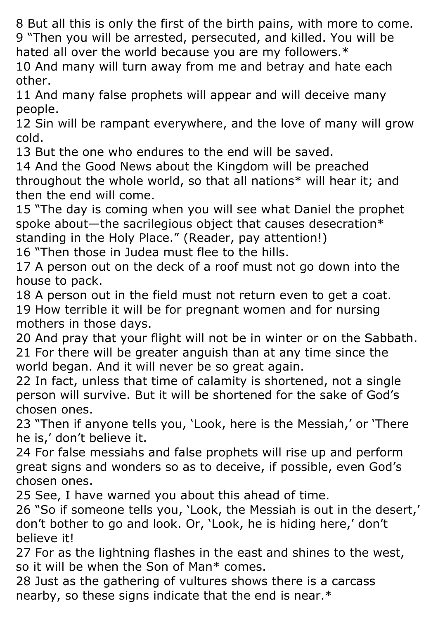8 But all this is only the first of the birth pains, with more to come. 9 "Then you will be arrested, persecuted, and killed. You will be hated all over the world because you are my followers.\*

10 And many will turn away from me and betray and hate each other.

11 And many false prophets will appear and will deceive many people.

12 Sin will be rampant everywhere, and the love of many will grow cold.

13 But the one who endures to the end will be saved.

14 And the Good News about the Kingdom will be preached throughout the whole world, so that all nations\* will hear it; and then the end will come.

15 "The day is coming when you will see what Daniel the prophet spoke about—the sacrilegious object that causes desecration\* standing in the Holy Place." (Reader, pay attention!)

16 "Then those in Judea must flee to the hills.

17 A person out on the deck of a roof must not go down into the house to pack.

18 A person out in the field must not return even to get a coat.

19 How terrible it will be for pregnant women and for nursing mothers in those days.

20 And pray that your flight will not be in winter or on the Sabbath. 21 For there will be greater anguish than at any time since the world began. And it will never be so great again.

22 In fact, unless that time of calamity is shortened, not a single person will survive. But it will be shortened for the sake of God's chosen ones.

23 "Then if anyone tells you, 'Look, here is the Messiah,' or 'There he is,' don't believe it.

24 For false messiahs and false prophets will rise up and perform great signs and wonders so as to deceive, if possible, even God's chosen ones.

25 See, I have warned you about this ahead of time.

26 "So if someone tells you, 'Look, the Messiah is out in the desert,' don't bother to go and look. Or, 'Look, he is hiding here,' don't believe it!

27 For as the lightning flashes in the east and shines to the west, so it will be when the Son of Man\* comes.

28 Just as the gathering of vultures shows there is a carcass nearby, so these signs indicate that the end is near.\*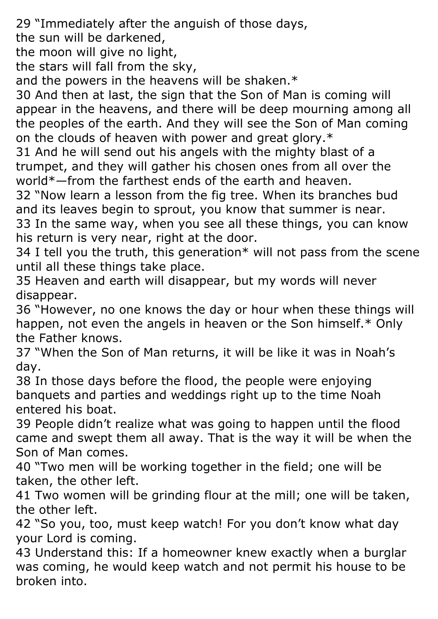29 "Immediately after the anguish of those days,

the sun will be darkened,

the moon will give no light,

the stars will fall from the sky,

and the powers in the heavens will be shaken.\*

30 And then at last, the sign that the Son of Man is coming will appear in the heavens, and there will be deep mourning among all the peoples of the earth. And they will see the Son of Man coming on the clouds of heaven with power and great glory.\*

31 And he will send out his angels with the mighty blast of a trumpet, and they will gather his chosen ones from all over the world\*—from the farthest ends of the earth and heaven.

32 "Now learn a lesson from the fig tree. When its branches bud and its leaves begin to sprout, you know that summer is near. 33 In the same way, when you see all these things, you can know his return is very near, right at the door.

34 I tell you the truth, this generation\* will not pass from the scene until all these things take place.

35 Heaven and earth will disappear, but my words will never disappear.

36 "However, no one knows the day or hour when these things will happen, not even the angels in heaven or the Son himself.\* Only the Father knows.

37 "When the Son of Man returns, it will be like it was in Noah's day.

38 In those days before the flood, the people were enjoying banquets and parties and weddings right up to the time Noah entered his boat.

39 People didn't realize what was going to happen until the flood came and swept them all away. That is the way it will be when the Son of Man comes.

40 "Two men will be working together in the field; one will be taken, the other left.

41 Two women will be grinding flour at the mill; one will be taken, the other left.

42 "So you, too, must keep watch! For you don't know what day your Lord is coming.

43 Understand this: If a homeowner knew exactly when a burglar was coming, he would keep watch and not permit his house to be broken into.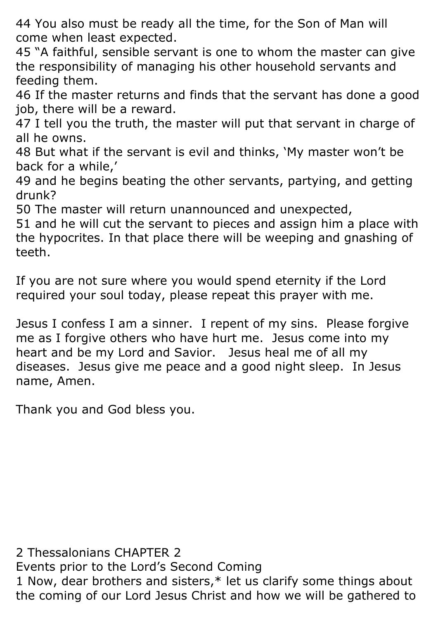44 You also must be ready all the time, for the Son of Man will come when least expected.

45 "A faithful, sensible servant is one to whom the master can give the responsibility of managing his other household servants and feeding them.

46 If the master returns and finds that the servant has done a good job, there will be a reward.

47 I tell you the truth, the master will put that servant in charge of all he owns.

48 But what if the servant is evil and thinks, 'My master won't be back for a while,'

49 and he begins beating the other servants, partying, and getting drunk?

50 The master will return unannounced and unexpected,

51 and he will cut the servant to pieces and assign him a place with the hypocrites. In that place there will be weeping and gnashing of teeth.

If you are not sure where you would spend eternity if the Lord required your soul today, please repeat this prayer with me.

Jesus I confess I am a sinner. I repent of my sins. Please forgive me as I forgive others who have hurt me. Jesus come into my heart and be my Lord and Savior. Jesus heal me of all my diseases. Jesus give me peace and a good night sleep. In Jesus name, Amen.

Thank you and God bless you.

2 Thessalonians CHAPTER 2

Events prior to the Lord's Second Coming

1 Now, dear brothers and sisters,\* let us clarify some things about the coming of our Lord Jesus Christ and how we will be gathered to